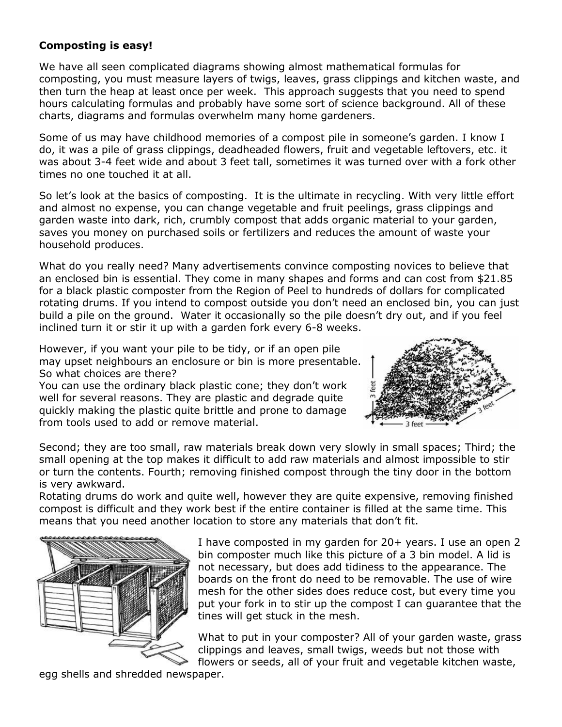## **Composting is easy!**

We have all seen complicated diagrams showing almost mathematical formulas for composting, you must measure layers of twigs, leaves, grass clippings and kitchen waste, and then turn the heap at least once per week. This approach suggests that you need to spend hours calculating formulas and probably have some sort of science background. All of these charts, diagrams and formulas overwhelm many home gardeners.

Some of us may have childhood memories of a compost pile in someone's garden. I know I do, it was a pile of grass clippings, deadheaded flowers, fruit and vegetable leftovers, etc. it was about 3-4 feet wide and about 3 feet tall, sometimes it was turned over with a fork other times no one touched it at all.

So let's look at the basics of composting. It is the ultimate in recycling. With very little effort and almost no expense, you can change vegetable and fruit peelings, grass clippings and garden waste into dark, rich, crumbly compost that adds organic material to your garden, saves you money on purchased soils or fertilizers and reduces the amount of waste your household produces.

What do you really need? Many advertisements convince composting novices to believe that an enclosed bin is essential. They come in many shapes and forms and can cost from \$21.85 for a black plastic composter from the Region of Peel to hundreds of dollars for complicated rotating drums. If you intend to compost outside you don't need an enclosed bin, you can just build a pile on the ground. Water it occasionally so the pile doesn't dry out, and if you feel inclined turn it or stir it up with a garden fork every 6-8 weeks.

However, if you want your pile to be tidy, or if an open pile may upset neighbours an enclosure or bin is more presentable. So what choices are there?

You can use the ordinary black plastic cone; they don't work well for several reasons. They are plastic and degrade quite quickly making the plastic quite brittle and prone to damage from tools used to add or remove material.



Second; they are too small, raw materials break down very slowly in small spaces; Third; the small opening at the top makes it difficult to add raw materials and almost impossible to stir or turn the contents. Fourth; removing finished compost through the tiny door in the bottom is very awkward.

Rotating drums do work and quite well, however they are quite expensive, removing finished compost is difficult and they work best if the entire container is filled at the same time. This means that you need another location to store any materials that don't fit.



I have composted in my garden for 20+ years. I use an open 2 bin composter much like this picture of a 3 bin model. A lid is not necessary, but does add tidiness to the appearance. The boards on the front do need to be removable. The use of wire mesh for the other sides does reduce cost, but every time you put your fork in to stir up the compost I can guarantee that the tines will get stuck in the mesh.

What to put in your composter? All of your garden waste, grass clippings and leaves, small twigs, weeds but not those with flowers or seeds, all of your fruit and vegetable kitchen waste,

egg shells and shredded newspaper.